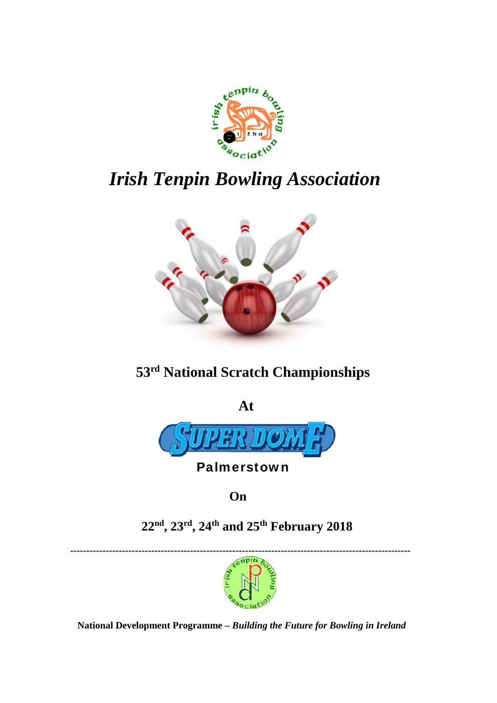

# *Irish Tenpin Bowling Association*



# **53rd National Scratch Championships**



# **Palmerstown**

**On**

**22nd , 23rd, 24th and 25th February 2018**

**---------------------------------------------------------------------------------------------------------**



**National Development Programme –** *Building the Future for Bowling in Ireland*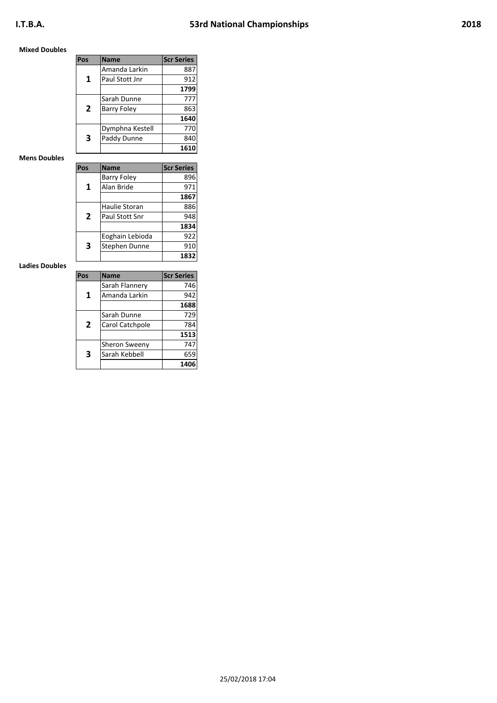## **Mixed Doubles**

| Pos | <b>Name</b>        | <b>Scr Series</b> |
|-----|--------------------|-------------------|
|     | Amanda Larkin      | 887               |
| 1   | Paul Stott Jnr     | 912               |
|     |                    | 1799              |
|     | Sarah Dunne        | 777               |
| 2   | <b>Barry Foley</b> | 863               |
|     |                    | 1640              |
|     | Dymphna Kestell    | 770               |
| 3   | Paddy Dunne        | 840               |
|     |                    | 1610              |

### **Mens Doubles**

| Pos | <b>Name</b>        | <b>Scr Series</b> |
|-----|--------------------|-------------------|
|     | <b>Barry Foley</b> | 896               |
| 1   | Alan Bride         | 971               |
|     |                    | 1867              |
|     | Haulie Storan      | 886               |
| 2   | Paul Stott Snr     | 948               |
|     |                    | 1834              |
|     | Eoghain Lebioda    | 922               |
| 3   | Stephen Dunne      | 910               |
|     |                    | 1832              |

### **Ladies Doubles**

| Pos | <b>Name</b>     | <b>Scr Series</b> |
|-----|-----------------|-------------------|
|     | Sarah Flannery  | 746               |
| 1   | Amanda Larkin   | 942               |
|     |                 | 1688              |
|     | Sarah Dunne     | 729               |
| 2   | Carol Catchpole | 784               |
|     |                 | 1513              |
|     | Sheron Sweeny   | 747               |
| 3   | Sarah Kebbell   | 659               |
|     |                 | 1406              |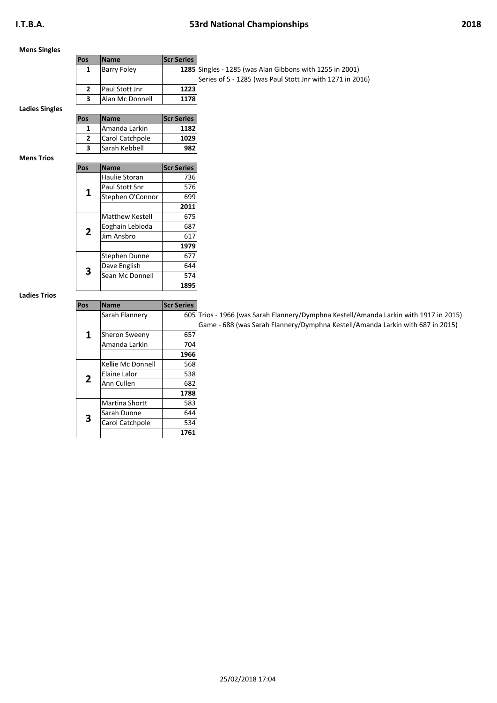### **Mens Singles**

| <b>Pos</b> | <b>Name</b>        | <b>Scr Series</b> |                                                          |
|------------|--------------------|-------------------|----------------------------------------------------------|
|            | <b>Barry Foley</b> |                   | 1285 Singles - 1285 (was Alan Gibbons with 1255 in 2001) |
|            |                    |                   | Series of 5 - 1285 (was Paul Stott Jnr with 1271 in 20   |
|            | Paul Stott Jnr     | 1223              |                                                          |
|            | Alan Mc Donnell    | 1178              |                                                          |

**Ladies Singles**

| Pos | Name            | <b>Scr Series</b> |
|-----|-----------------|-------------------|
|     | Amanda Larkin   | 1182              |
|     | Carol Catchpole | 1029              |
|     | Sarah Kebbell   |                   |

**Mens Trios**

| Pos | <b>Name</b>            | <b>Scr Series</b> |
|-----|------------------------|-------------------|
|     | Haulie Storan          | 736               |
|     |                        |                   |
| 1   | Paul Stott Snr         | 576               |
|     | Stephen O'Connor       | 699               |
|     |                        | 2011              |
|     | <b>Matthew Kestell</b> | 675               |
| 2   | Eoghain Lebioda        | 687               |
|     | Jim Ansbro             | 617               |
|     |                        | 1979              |
|     | Stephen Dunne          | 677               |
| 3   | Dave English           | 644               |
|     | Sean Mc Donnell        | 574               |
|     |                        | 1895              |

#### **Ladies Trios**

| Pos | <b>Name</b>       | <b>Scr Series</b> |               |
|-----|-------------------|-------------------|---------------|
|     | Sarah Flannery    |                   | 605 Trios - 1 |
|     |                   |                   | Game -        |
| 1   | Sheron Sweeny     | 657               |               |
|     | Amanda Larkin     | 704               |               |
|     |                   | 1966              |               |
|     | Kellie Mc Donnell | 568               |               |
|     | Elaine Lalor      | 538               |               |
| 2   | Ann Cullen        | 682               |               |
|     |                   | 1788              |               |
|     | Martina Shortt    | 583               |               |
| 3   | Sarah Dunne       | 644               |               |
|     | Carol Catchpole   | 534               |               |
|     |                   | 1761              |               |

Frios - 1966 (was Sarah Flannery/Dymphna Kestell/Amanda Larkin with 1917 in 2015) Game - 688 (was Sarah Flannery/Dymphna Kestell/Amanda Larkin with 687 in 2015)

(was Paul Stott Jnr with 1271 in 2016)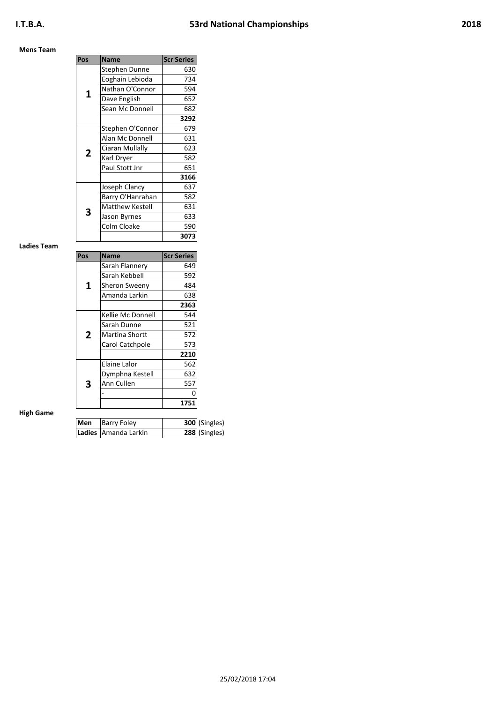## **Mens Team**

| Pos | <b>Name</b>            | <b>Scr Series</b> |
|-----|------------------------|-------------------|
|     | Stephen Dunne          | 630               |
|     | Eoghain Lebioda        | 734               |
| 1   | Nathan O'Connor        | 594               |
|     | Dave English           | 652               |
|     | Sean Mc Donnell        | 682               |
|     |                        | 3292              |
|     | Stephen O'Connor       | 679               |
|     | Alan Mc Donnell        | 631               |
| 2   | Ciaran Mullally        | 623               |
|     | Karl Dryer             | 582               |
|     | Paul Stott Jnr         | 651               |
|     |                        | 3166              |
|     | Joseph Clancy          | 637               |
|     | Barry O'Hanrahan       | 582               |
| 3   | <b>Matthew Kestell</b> | 631               |
|     | Jason Byrnes           | 633               |
|     | Colm Cloake            | 590               |
|     |                        | 3073              |

#### **Ladies Team**

| Pos | <b>Name</b>       | <b>Scr Series</b> |
|-----|-------------------|-------------------|
|     | Sarah Flannery    | 649               |
|     | Sarah Kebbell     | 592               |
| 1   | Sheron Sweeny     | 484               |
|     | Amanda Larkin     | 638               |
|     |                   | 2363              |
|     | Kellie Mc Donnell | 544               |
|     | Sarah Dunne       | 521               |
| 2   | Martina Shortt    | 572               |
|     | Carol Catchpole   | 573               |
|     |                   | 2210              |
|     | Elaine Lalor      | 562               |
|     | Dymphna Kestell   | 632               |
| 3   | Ann Cullen        | 557               |
|     |                   | Ω                 |
|     |                   | 1751              |

## **High Game**

| Men | Barry Foley          | 300 (Singles) |
|-----|----------------------|---------------|
|     | Ladies Amanda Larkin | 288 (Singles) |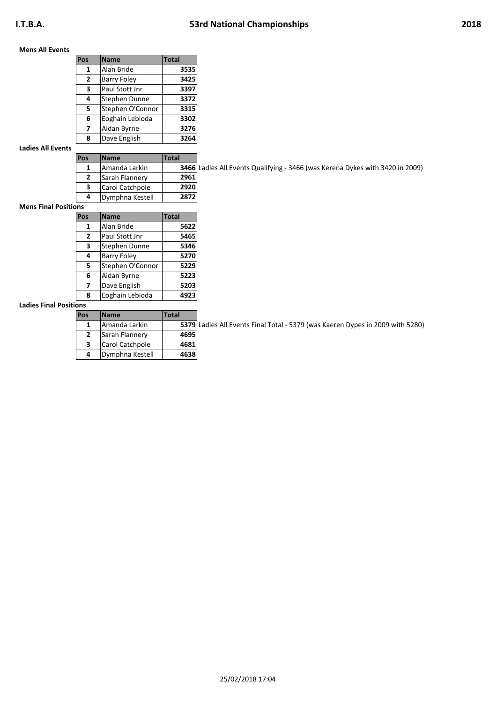### **Mens All Events**

| Pos            | <b>Name</b>        | <b>Total</b> |
|----------------|--------------------|--------------|
| 1              | Alan Bride         | 3535         |
| $\overline{2}$ | <b>Barry Foley</b> | 3425         |
| 3              | Paul Stott Jnr     | 3397         |
| 4              | Stephen Dunne      | 3372         |
| 5              | Stephen O'Connor   | 3315         |
| 6              | Eoghain Lebioda    | 3302         |
| 7              | Aidan Byrne        | 3276         |
| 8              | Dave English       | 3264         |

### **Ladies All Events**

| <b>Name</b>     | <b>Total</b> |               |
|-----------------|--------------|---------------|
| lAmanda Larkin  |              | 3466 Ladies A |
| Sarah Flannery  | 2961         |               |
| Carol Catchpole | 2920         |               |
| Dymphna Kestell | 2872         |               |
|                 |              |               |

Ladies All Events Qualifying - 3466 (was Kerena Dykes with 3420 in 2009)

### **Mens Final Positions**

| ----         |                    |              |
|--------------|--------------------|--------------|
| Pos          | <b>Name</b>        | <b>Total</b> |
| 1            | Alan Bride         | 5622         |
| $\mathbf{2}$ | Paul Stott Jnr     | 5465         |
| 3            | Stephen Dunne      | 5346         |
| 4            | <b>Barry Foley</b> | 5270         |
| 5            | Stephen O'Connor   | 5229         |
| 6            | Aidan Byrne        | 5223         |
| 7            | Dave English       | 5203         |
| 8            | Eoghain Lebioda    | 4923         |

## **Ladies Final Positions**

| Pos | <b>Name</b>     | <b>Total</b> |               |
|-----|-----------------|--------------|---------------|
| 1   | Amanda Larkin   |              | 5379 Ladies A |
| 2   | Sarah Flannery  | 4695         |               |
| 3   | Carol Catchpole | 4681         |               |
| 4   | Dymphna Kestell | 4638         |               |

Ladies All Events Final Total - 5379 (was Kaeren Dypes in 2009 with 5280)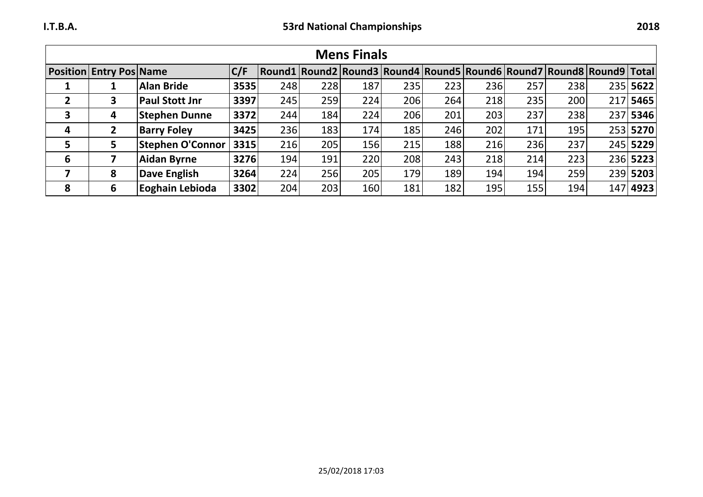|   |                                |                         |      |            |     | <b>Mens Finals</b> |     |     |     |     |                                                                      |          |
|---|--------------------------------|-------------------------|------|------------|-----|--------------------|-----|-----|-----|-----|----------------------------------------------------------------------|----------|
|   | <b>Position Entry Pos Name</b> |                         | C/F  |            |     |                    |     |     |     |     | Round1 Round2 Round3 Round4 Round5 Round6 Round7 Round8 Round9 Total |          |
|   |                                | <b>Alan Bride</b>       | 3535 | 248        | 228 | 187                | 235 | 223 | 236 | 257 | 238                                                                  | 235 5622 |
|   | 3                              | <b>Paul Stott Jnr</b>   | 3397 | 245        | 259 | 224                | 206 | 264 | 218 | 235 | 200                                                                  | 217 5465 |
| 3 | 4                              | <b>Stephen Dunne</b>    | 3372 | 244        | 184 | 224                | 206 | 201 | 203 | 237 | 238                                                                  | 237 5346 |
| 4 |                                | <b>Barry Foley</b>      | 3425 | <b>236</b> | 183 | 174                | 185 | 246 | 202 | 171 | 195                                                                  | 253 5270 |
| 5 | 5.                             | <b>Stephen O'Connor</b> | 3315 | 216        | 205 | 156                | 215 | 188 | 216 | 236 | 237                                                                  | 245 5229 |
| 6 |                                | <b>Aidan Byrne</b>      | 3276 | 194        | 191 | 220                | 208 | 243 | 218 | 214 | 223                                                                  | 236 5223 |
| 7 | 8                              | <b>Dave English</b>     | 3264 | 224        | 256 | 205                | 179 | 189 | 194 | 194 | 259                                                                  | 239 5203 |
| 8 | 6                              | Eoghain Lebioda         | 3302 | <b>204</b> | 203 | 160                | 181 | 182 | 195 | 155 | 194                                                                  | 147 4923 |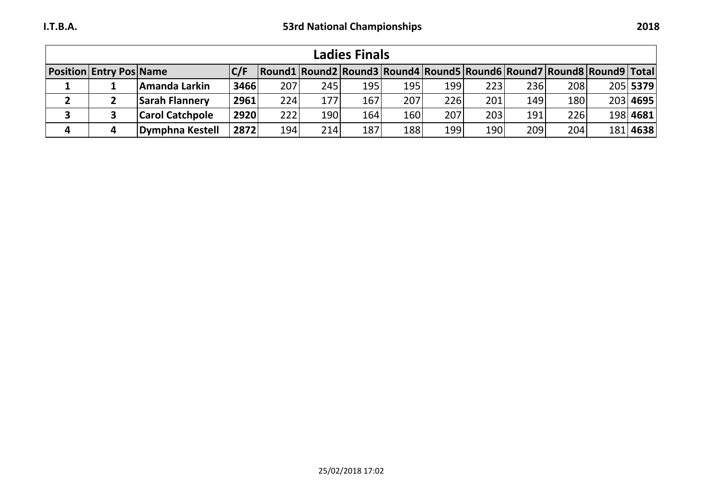| <b>Ladies Finals</b> |                                |                        |             |     |     |     |            |                                                                      |      |     |     |  |          |
|----------------------|--------------------------------|------------------------|-------------|-----|-----|-----|------------|----------------------------------------------------------------------|------|-----|-----|--|----------|
|                      | <b>Position Entry Pos Name</b> |                        | C/F         |     |     |     |            | Round1 Round2 Round3 Round4 Round5 Round6 Round7 Round8 Round9 Total |      |     |     |  |          |
|                      |                                | Amanda Larkin          | 3466        | 207 | 245 | 195 | 195        | 199                                                                  | 223  | 236 | 208 |  | 205 5379 |
|                      |                                | <b>Sarah Flannery</b>  | 2961        | 224 | 177 | 167 | 207        | 226                                                                  | 201  | 149 | 180 |  | 203 4695 |
|                      |                                | <b>Carol Catchpole</b> | <b>2920</b> | 222 | 190 | 164 | <b>160</b> | 207                                                                  | 2031 | 191 | 226 |  | 198 4681 |
| 4                    |                                | Dymphna Kestell        | $2872$      | 194 | 214 | 187 | 188        | 199                                                                  | 190  | 209 | 204 |  | 181 4638 |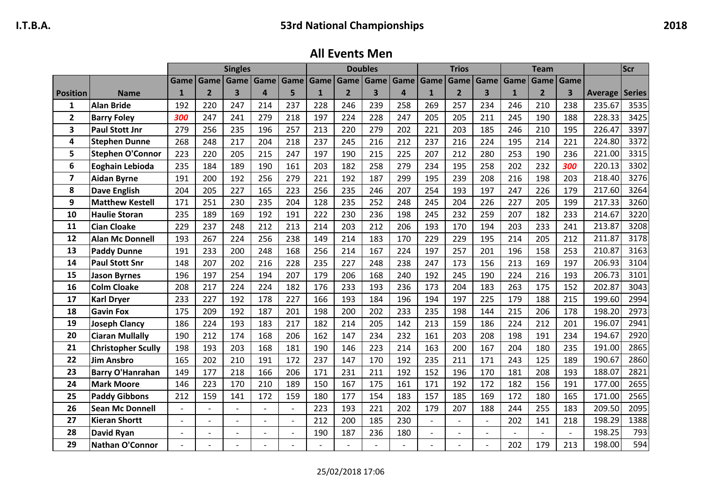**All Events Men**

|                         |                           |                          |                | <b>Singles</b>           |                |                |              |                | <b>Doubles</b>          |           |                          | <b>Trios</b>   |                          |              | <b>Team</b>    |      |                       | Scr  |
|-------------------------|---------------------------|--------------------------|----------------|--------------------------|----------------|----------------|--------------|----------------|-------------------------|-----------|--------------------------|----------------|--------------------------|--------------|----------------|------|-----------------------|------|
|                         |                           | Game                     | Game           | Game                     | Game Game      |                | Game         | Game           | Game                    | Game Game |                          | Game           | Game                     | Game         | Game           | Game |                       |      |
| <b>Position</b>         | <b>Name</b>               | $\mathbf{1}$             | $\overline{2}$ | $\overline{\mathbf{3}}$  | $\overline{a}$ | 5              | $\mathbf{1}$ | $\overline{2}$ | $\overline{\mathbf{3}}$ | $\Delta$  | $\mathbf{1}$             | $\overline{2}$ | $\overline{\mathbf{3}}$  | $\mathbf{1}$ | $\overline{2}$ | 3    | <b>Average Series</b> |      |
| 1                       | <b>Alan Bride</b>         | 192                      | 220            | 247                      | 214            | 237            | 228          | 246            | 239                     | 258       | 269                      | 257            | 234                      | 246          | 210            | 238  | 235.67                | 3535 |
| $\overline{2}$          | <b>Barry Foley</b>        | 300                      | 247            | 241                      | 279            | 218            | 197          | 224            | 228                     | 247       | 205                      | 205            | 211                      | 245          | 190            | 188  | 228.33                | 3425 |
| 3                       | <b>Paul Stott Jnr</b>     | 279                      | 256            | 235                      | 196            | 257            | 213          | 220            | 279                     | 202       | 221                      | 203            | 185                      | 246          | 210            | 195  | 226.47                | 3397 |
| 4                       | <b>Stephen Dunne</b>      | 268                      | 248            | 217                      | 204            | 218            | 237          | 245            | 216                     | 212       | 237                      | 216            | 224                      | 195          | 214            | 221  | 224.80                | 3372 |
| 5                       | <b>Stephen O'Connor</b>   | 223                      | 220            | 205                      | 215            | 247            | 197          | 190            | 215                     | 225       | 207                      | 212            | 280                      | 253          | 190            | 236  | 221.00                | 3315 |
| 6                       | Eoghain Lebioda           | 235                      | 184            | 189                      | 190            | 161            | 203          | 182            | 258                     | 279       | 234                      | 195            | 258                      | 202          | 232            | 300  | 220.13                | 3302 |
| $\overline{\mathbf{z}}$ | <b>Aidan Byrne</b>        | 191                      | 200            | 192                      | 256            | 279            | 221          | 192            | 187                     | 299       | 195                      | 239            | 208                      | 216          | 198            | 203  | 218.40                | 3276 |
| 8                       | <b>Dave English</b>       | 204                      | 205            | 227                      | 165            | 223            | 256          | 235            | 246                     | 207       | 254                      | 193            | 197                      | 247          | 226            | 179  | 217.60                | 3264 |
| 9                       | <b>Matthew Kestell</b>    | 171                      | 251            | 230                      | 235            | 204            | 128          | 235            | 252                     | 248       | 245                      | 204            | 226                      | 227          | 205            | 199  | 217.33                | 3260 |
| 10                      | <b>Haulie Storan</b>      | 235                      | 189            | 169                      | 192            | 191            | 222          | 230            | 236                     | 198       | 245                      | 232            | 259                      | 207          | 182            | 233  | 214.67                | 3220 |
| 11                      | <b>Cian Cloake</b>        | 229                      | 237            | 248                      | 212            | 213            | 214          | 203            | 212                     | 206       | 193                      | 170            | 194                      | 203          | 233            | 241  | 213.87                | 3208 |
| 12                      | <b>Alan Mc Donnell</b>    | 193                      | 267            | 224                      | 256            | 238            | 149          | 214            | 183                     | 170       | 229                      | 229            | 195                      | 214          | 205            | 212  | 211.87                | 3178 |
| 13                      | <b>Paddy Dunne</b>        | 191                      | 233            | 200                      | 248            | 168            | 256          | 214            | 167                     | 224       | 197                      | 257            | 201                      | 196          | 158            | 253  | 210.87                | 3163 |
| 14                      | <b>Paul Stott Snr</b>     | 148                      | 207            | 202                      | 216            | 228            | 235          | 227            | 248                     | 238       | 247                      | 173            | 156                      | 213          | 169            | 197  | 206.93                | 3104 |
| 15                      | <b>Jason Byrnes</b>       | 196                      | 197            | 254                      | 194            | 207            | 179          | 206            | 168                     | 240       | 192                      | 245            | 190                      | 224          | 216            | 193  | 206.73                | 3101 |
| 16                      | <b>Colm Cloake</b>        | 208                      | 217            | 224                      | 224            | 182            | 176          | 233            | 193                     | 236       | 173                      | 204            | 183                      | 263          | 175            | 152  | 202.87                | 3043 |
| 17                      | <b>Karl Dryer</b>         | 233                      | 227            | 192                      | 178            | 227            | 166          | 193            | 184                     | 196       | 194                      | 197            | 225                      | 179          | 188            | 215  | 199.60                | 2994 |
| 18                      | <b>Gavin Fox</b>          | 175                      | 209            | 192                      | 187            | 201            | 198          | 200            | 202                     | 233       | 235                      | 198            | 144                      | 215          | 206            | 178  | 198.20                | 2973 |
| 19                      | <b>Joseph Clancy</b>      | 186                      | 224            | 193                      | 183            | 217            | 182          | 214            | 205                     | 142       | 213                      | 159            | 186                      | 224          | 212            | 201  | 196.07                | 2941 |
| 20                      | <b>Ciaran Mullally</b>    | 190                      | 212            | 174                      | 168            | 206            | 162          | 147            | 234                     | 232       | 161                      | 203            | 208                      | 198          | 191            | 234  | 194.67                | 2920 |
| 21                      | <b>Christopher Scully</b> | 198                      | 193            | 203                      | 168            | 181            | 190          | 146            | 223                     | 214       | 163                      | 200            | 167                      | 204          | 180            | 235  | 191.00                | 2865 |
| 22                      | <b>Jim Ansbro</b>         | 165                      | 202            | 210                      | 191            | 172            | 237          | 147            | 170                     | 192       | 235                      | 211            | 171                      | 243          | 125            | 189  | 190.67                | 2860 |
| 23                      | <b>Barry O'Hanrahan</b>   | 149                      | 177            | 218                      | 166            | 206            | 171          | 231            | 211                     | 192       | 152                      | 196            | 170                      | 181          | 208            | 193  | 188.07                | 2821 |
| 24                      | <b>Mark Moore</b>         | 146                      | 223            | 170                      | 210            | 189            | 150          | 167            | 175                     | 161       | 171                      | 192            | 172                      | 182          | 156            | 191  | 177.00                | 2655 |
| 25                      | <b>Paddy Gibbons</b>      | 212                      | 159            | 141                      | 172            | 159            | 180          | 177            | 154                     | 183       | 157                      | 185            | 169                      | 172          | 180            | 165  | 171.00                | 2565 |
| 26                      | <b>Sean Mc Donnell</b>    |                          |                | $\overline{\phantom{0}}$ |                |                | 223          | 193            | 221                     | 202       | 179                      | 207            | 188                      | 244          | 255            | 183  | 209.50                | 2095 |
| 27                      | <b>Kieran Shortt</b>      | $\overline{\phantom{a}}$ | $\blacksquare$ | $\overline{\phantom{0}}$ | $\blacksquare$ | $\blacksquare$ | 212          | 200            | 185                     | 230       | $\overline{\phantom{a}}$ | $\blacksquare$ | $\overline{\phantom{a}}$ | 202          | 141            | 218  | 198.29                | 1388 |
| 28                      | David Ryan                |                          |                | $\overline{\phantom{a}}$ |                |                | 190          | 187            | 236                     | 180       |                          |                |                          |              |                |      | 198.25                | 793  |
| 29                      | Nathan O'Connor           |                          |                |                          |                |                |              |                |                         |           |                          |                |                          | 202          | 179            | 213  | 198.00                | 594  |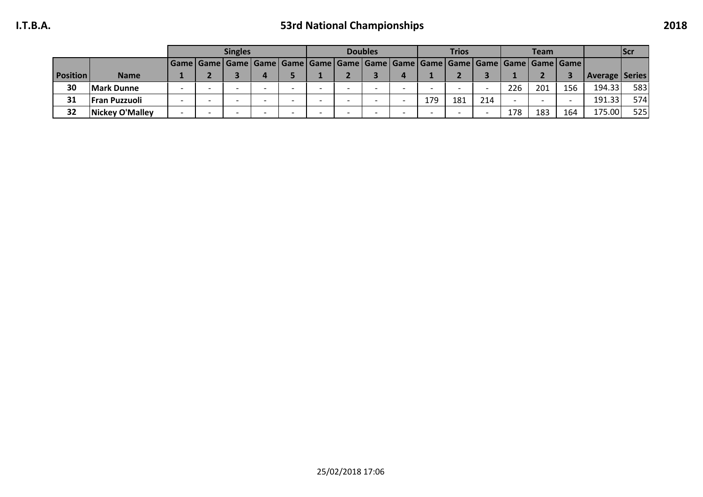# **I.T.B.A. 53rd National Championships 2018**

|                 |                       |  | <b>Singles</b> |                                                                                                        |  | <b>Doubles</b> |     | <b>Trios</b> |     |     | <b>Team</b> |     |                           | <b>Scr</b> |
|-----------------|-----------------------|--|----------------|--------------------------------------------------------------------------------------------------------|--|----------------|-----|--------------|-----|-----|-------------|-----|---------------------------|------------|
|                 |                       |  |                | Game   Game   Game   Game   Game   Game   Game   Game   Game   Game   Game   Game   Game   Game   Game |  |                |     |              |     |     |             |     |                           |            |
| <b>Position</b> | <b>Name</b>           |  |                |                                                                                                        |  |                |     |              |     |     |             |     | <b>Average   Series  </b> |            |
| 30              | <b>Mark Dunne</b>     |  |                |                                                                                                        |  |                |     |              |     | 226 | 201         | 156 | 194.33                    | 583        |
| 31              | <b> Fran Puzzuoli</b> |  |                |                                                                                                        |  |                | 179 | 181          | 214 |     |             |     | 191.33                    | 574        |
| 32              | Nickey O'Malley       |  |                |                                                                                                        |  |                |     |              |     | 178 | 183         | 164 | 175.00                    | 525        |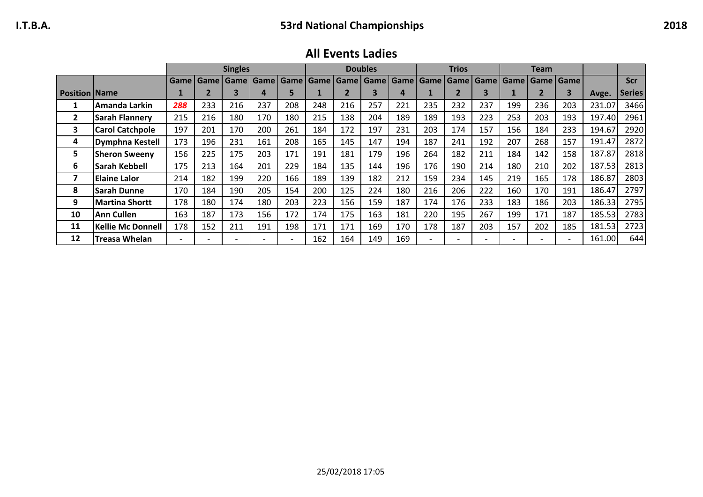**All Events Ladies**

|                        |                          |     |                          | <b>Singles</b> |     |                          |     |             | <b>Doubles</b> |             |             | <b>Trios</b>             |                          |                          | <b>Team</b>              |     |        |               |
|------------------------|--------------------------|-----|--------------------------|----------------|-----|--------------------------|-----|-------------|----------------|-------------|-------------|--------------------------|--------------------------|--------------------------|--------------------------|-----|--------|---------------|
|                        |                          |     | Game   Game              | <b>Game</b>    |     | Game   Game   Game       |     | Game   Game |                | <b>Game</b> | Game   Game |                          | <b>Game</b>              |                          | Game   Game   Game       |     |        | <b>Scr</b>    |
| <b>Position   Name</b> |                          |     |                          | 3              |     | 5                        |     |             | 3              | 4           |             |                          |                          |                          |                          | 3   | Avge.  | <b>Series</b> |
|                        | Amanda Larkin            | 288 | 233                      | 216            | 237 | 208                      | 248 | 216         | 257            | 221         | 235         | 232                      | 237                      | 199                      | 236                      | 203 | 231.07 | 3466          |
| 2                      | Sarah Flannery           | 215 | 216                      | 180            | 170 | 180                      | 215 | 138         | 204            | 189         | 189         | 193                      | 223                      | 253                      | 203                      | 193 | 197.40 | 2961          |
| 3                      | <b>Carol Catchpole</b>   | 197 | 201                      | 170            | 200 | 261                      | 184 | 172         | 197            | 231         | 203         | 174                      | 157                      | 156                      | 184                      | 233 | 194.67 | 2920          |
| 4                      | Dymphna Kestell          | 173 | 196                      | 231            | 161 | 208                      | 165 | 145         | 147            | 194         | 187         | 241                      | 192                      | 207                      | 268                      | 157 | 191.47 | 2872          |
| 5                      | <b>Sheron Sweeny</b>     | 156 | 225                      | 175            | 203 | 171                      | 191 | 181         | 179            | 196         | 264         | 182                      | 211                      | 184                      | 142                      | 158 | 187.87 | 2818          |
| 6                      | Sarah Kebbell            | 175 | 213                      | 164            | 201 | 229                      | 184 | 135         | 144            | 196         | 176         | 190                      | 214                      | 180                      | 210                      | 202 | 187.53 | 2813          |
| 7                      | lElaine Lalor            | 214 | 182                      | 199            | 220 | 166                      | 189 | 139         | 182            | 212         | 159         | 234                      | 145                      | 219                      | 165                      | 178 | 186.87 | 2803          |
| 8                      | <b>Sarah Dunne</b>       | 170 | 184                      | 190            | 205 | 154                      | 200 | 125         | 224            | 180         | 216         | 206                      | 222                      | 160                      | 170                      | 191 | 186.47 | 2797          |
| 9                      | Martina Shortt           | 178 | 180                      | 174            | 180 | 203                      | 223 | 156         | 159            | 187         | 174         | 176                      | 233                      | 183                      | 186                      | 203 | 186.33 | 2795          |
| 10                     | <b>Ann Cullen</b>        | 163 | 187                      | 173            | 156 | 172                      | 174 | 175         | 163            | 181         | 220         | 195                      | 267                      | 199                      | 171                      | 187 | 185.53 | 2783          |
| 11                     | <b>Kellie Mc Donnell</b> | 178 | 152                      | 211            | 191 | 198                      | 171 | 171         | 169            | 170         | 178         | 187                      | 203                      | 157                      | 202                      | 185 | 181.53 | 2723          |
| 12                     | <b>Treasa Whelan</b>     |     | $\overline{\phantom{0}}$ |                |     | $\overline{\phantom{a}}$ | 162 | 164         | 149            | 169         |             | $\overline{\phantom{0}}$ | $\overline{\phantom{0}}$ | $\overline{\phantom{0}}$ | $\overline{\phantom{0}}$ |     | 161.00 | 644           |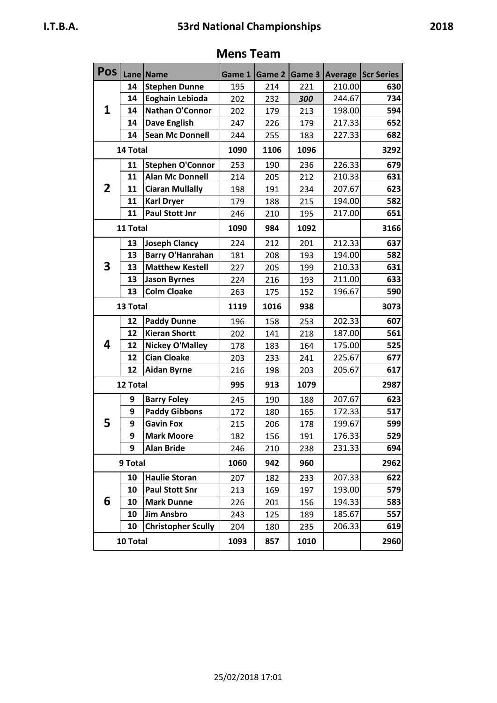# **Mens Team**

**Pos Lane Name Game 1 Game 2 Game 3 Average Scr Series**

|   | 14       | <b>Stephen Dunne</b>      | 195  | 214  | 221  | 210.00 | 630  |
|---|----------|---------------------------|------|------|------|--------|------|
|   | 14       | Eoghain Lebioda           | 202  | 232  | 300  | 244.67 | 734  |
| 1 | 14       | Nathan O'Connor           | 202  | 179  | 213  | 198.00 | 594  |
|   | 14       | <b>Dave English</b>       | 247  | 226  | 179  | 217.33 | 652  |
|   | 14       | <b>Sean Mc Donnell</b>    | 244  | 255  | 183  | 227.33 | 682  |
|   | 14 Total |                           | 1090 | 1106 | 1096 |        | 3292 |
|   | 11       | <b>Stephen O'Connor</b>   | 253  | 190  | 236  | 226.33 | 679  |
|   | 11       | <b>Alan Mc Donnell</b>    | 214  | 205  | 212  | 210.33 | 631  |
| 2 | 11       | <b>Ciaran Mullally</b>    | 198  | 191  | 234  | 207.67 | 623  |
|   | 11       | <b>Karl Dryer</b>         | 179  | 188  | 215  | 194.00 | 582  |
|   | 11       | <b>Paul Stott Jnr</b>     | 246  | 210  | 195  | 217.00 | 651  |
|   | 11 Total |                           | 1090 | 984  | 1092 |        | 3166 |
|   | 13       | <b>Joseph Clancy</b>      | 224  | 212  | 201  | 212.33 | 637  |
|   | 13       | <b>Barry O'Hanrahan</b>   | 181  | 208  | 193  | 194.00 | 582  |
| 3 | 13       | <b>Matthew Kestell</b>    | 227  | 205  | 199  | 210.33 | 631  |
|   | 13       | <b>Jason Byrnes</b>       | 224  | 216  | 193  | 211.00 | 633  |
|   | 13       | <b>Colm Cloake</b>        | 263  | 175  | 152  | 196.67 | 590  |
|   | 13 Total |                           | 1119 | 1016 | 938  |        | 3073 |
|   | 12       | <b>Paddy Dunne</b>        | 196  | 158  | 253  | 202.33 | 607  |
|   | 12       | <b>Kieran Shortt</b>      | 202  | 141  | 218  | 187.00 | 561  |
| 4 | 12       | <b>Nickey O'Malley</b>    | 178  | 183  | 164  | 175.00 | 525  |
|   | 12       | <b>Cian Cloake</b>        | 203  | 233  | 241  | 225.67 | 677  |
|   | 12       | <b>Aidan Byrne</b>        | 216  | 198  | 203  | 205.67 | 617  |
|   | 12 Total |                           | 995  | 913  | 1079 |        | 2987 |
|   | 9        | <b>Barry Foley</b>        | 245  | 190  | 188  | 207.67 | 623  |
|   | 9        | <b>Paddy Gibbons</b>      | 172  | 180  | 165  | 172.33 | 517  |
| 5 | 9        | <b>Gavin Fox</b>          | 215  | 206  | 178  | 199.67 | 599  |
|   | 9        | <b>Mark Moore</b>         | 182  | 156  | 191  | 176.33 | 529  |
|   | 9        | <b>Alan Bride</b>         | 246  | 210  | 238  | 231.33 | 694  |
|   | 9 Total  |                           | 1060 | 942  | 960  |        | 2962 |
|   | 10       | <b>Haulie Storan</b>      | 207  | 182  | 233  | 207.33 | 622  |
|   | 10       | <b>Paul Stott Snr</b>     | 213  | 169  | 197  | 193.00 | 579  |
| 6 | 10       | <b>Mark Dunne</b>         | 226  | 201  | 156  | 194.33 | 583  |
|   | 10       | <b>Jim Ansbro</b>         | 243  | 125  | 189  | 185.67 | 557  |
|   | 10       | <b>Christopher Scully</b> | 204  | 180  | 235  | 206.33 | 619  |
|   | 10 Total |                           | 1093 | 857  | 1010 |        | 2960 |
|   |          |                           |      |      |      |        |      |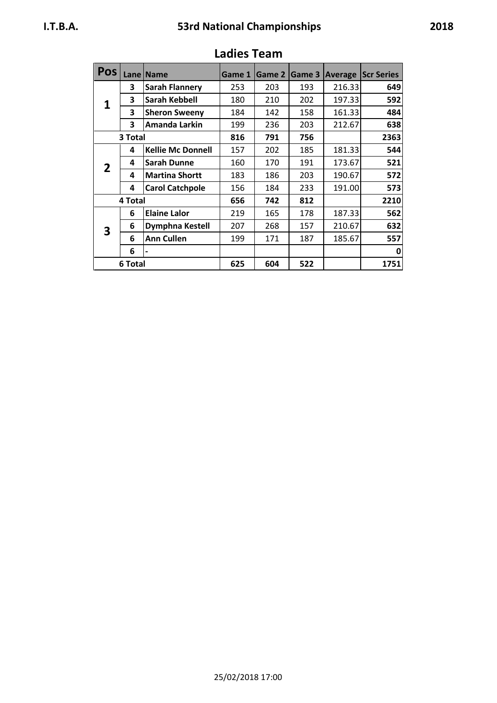| <b>Pos</b> |         | Lane   Name              | Game 1 | <b>Game 2</b> | Game 3 | <b>Average</b> | <b>Scr Series</b> |
|------------|---------|--------------------------|--------|---------------|--------|----------------|-------------------|
|            | 3       | <b>Sarah Flannery</b>    | 253    | 203           | 193    | 216.33         | 649               |
| 1          | 3       | <b>Sarah Kebbell</b>     | 180    | 210           | 202    | 197.33         | 592               |
|            | 3       | <b>Sheron Sweeny</b>     | 184    | 142           | 158    | 161.33         | 484               |
|            | 3       | Amanda Larkin            | 199    | 236           | 203    | 212.67         | 638               |
|            | 3 Total |                          | 816    | 791           | 756    |                | 2363              |
|            | 4       | <b>Kellie Mc Donnell</b> | 157    | 202           | 185    | 181.33         | 544               |
| 2          | 4       | <b>Sarah Dunne</b>       | 160    | 170           | 191    | 173.67         | 521               |
|            | 4       | <b>Martina Shortt</b>    | 183    | 186           | 203    | 190.67         | 572               |
|            | 4       | <b>Carol Catchpole</b>   | 156    | 184           | 233    | 191.00         | 573               |
|            | 4 Total |                          | 656    | 742           | 812    |                | 2210              |
|            | 6       | <b>Elaine Lalor</b>      | 219    | 165           | 178    | 187.33         | 562               |
| 3          | 6       | Dymphna Kestell          | 207    | 268           | 157    | 210.67         | 632               |
|            | 6       | <b>Ann Cullen</b>        | 199    | 171           | 187    | 185.67         | 557               |
|            | 6       |                          |        |               |        |                | 0                 |
|            | 6 Total |                          | 625    | 604           | 522    |                | 1751              |

# **Ladies Team**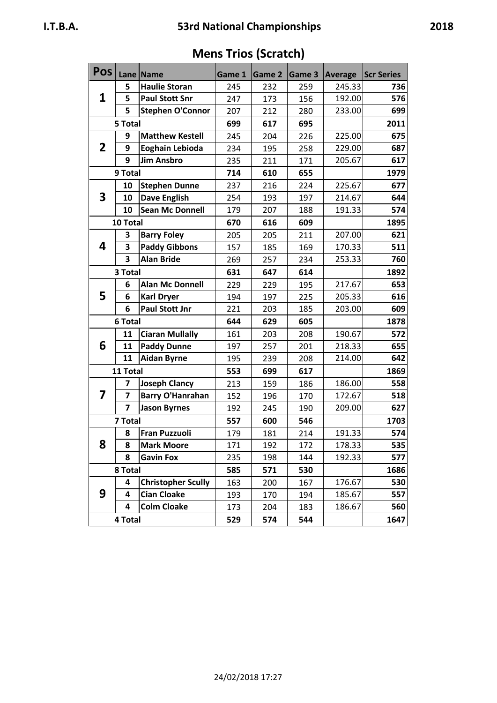| Pos          |                         | Lane   Name               | Game 1 | <b>Game 2</b> | Game 3 | <b>Average</b> | <b>Scr Series</b> |
|--------------|-------------------------|---------------------------|--------|---------------|--------|----------------|-------------------|
|              | 5                       | <b>Haulie Storan</b>      | 245    | 232           | 259    | 245.33         | 736               |
| 1            | 5                       | <b>Paul Stott Snr</b>     | 247    | 173           | 156    | 192.00         | 576               |
|              | 5                       | <b>Stephen O'Connor</b>   | 207    | 212           | 280    | 233.00         | 699               |
|              | 5 Total                 |                           | 699    | 617           | 695    |                | 2011              |
|              | 9                       | <b>Matthew Kestell</b>    | 245    | 204           | 226    | 225.00         | 675               |
| $\mathbf{2}$ | 9                       | Eoghain Lebioda           | 234    | 195           | 258    | 229.00         | 687               |
|              | 9                       | <b>Jim Ansbro</b>         | 235    | 211           | 171    | 205.67         | 617               |
|              | 9 Total                 |                           | 714    | 610           | 655    |                | 1979              |
|              | 10                      | <b>Stephen Dunne</b>      | 237    | 216           | 224    | 225.67         | 677               |
| 3            | 10                      | <b>Dave English</b>       | 254    | 193           | 197    | 214.67         | 644               |
|              | 10                      | <b>Sean Mc Donnell</b>    | 179    | 207           | 188    | 191.33         | 574               |
|              | 10 Total                |                           | 670    | 616           | 609    |                | 1895              |
|              | 3                       | <b>Barry Foley</b>        | 205    | 205           | 211    | 207.00         | 621               |
| 4            | 3                       | <b>Paddy Gibbons</b>      | 157    | 185           | 169    | 170.33         | 511               |
|              | 3                       | <b>Alan Bride</b>         | 269    | 257           | 234    | 253.33         | 760               |
|              | 3 Total                 |                           | 631    | 647           | 614    |                | 1892              |
|              | 6                       | <b>Alan Mc Donnell</b>    | 229    | 229           | 195    | 217.67         | 653               |
| 5            | 6                       | <b>Karl Dryer</b>         | 194    | 197           | 225    | 205.33         | 616               |
|              | 6                       | <b>Paul Stott Jnr</b>     | 221    | 203           | 185    | 203.00         | 609               |
|              | 6 Total                 |                           | 644    | 629           | 605    |                | 1878              |
|              | 11                      | <b>Ciaran Mullally</b>    | 161    | 203           | 208    | 190.67         | 572               |
| 6            | 11                      | <b>Paddy Dunne</b>        | 197    | 257           | 201    | 218.33         | 655               |
|              | 11                      | <b>Aidan Byrne</b>        | 195    | 239           | 208    | 214.00         | 642               |
|              | 11 Total                |                           | 553    | 699           | 617    |                | 1869              |
|              | $\overline{\mathbf{z}}$ | <b>Joseph Clancy</b>      | 213    | 159           | 186    | 186.00         | 558               |
| 7            | $\overline{z}$          | <b>Barry O'Hanrahan</b>   | 152    | 196           | 170    | 172.67         | 518               |
|              | $\overline{7}$          | <b>Jason Byrnes</b>       | 192    | 245           | 190    | 209.00         | 627               |
|              | 7 Total                 |                           | 557    | 600           | 546    |                | 1703              |
|              | 8                       | <b>Fran Puzzuoli</b>      | 179    | 181           | 214    | 191.33         | 574               |
| 8            | 8                       | <b>Mark Moore</b>         | 171    | 192           | 172    | 178.33         | 535               |
|              | 8                       | <b>Gavin Fox</b>          | 235    | 198           | 144    | 192.33         | 577               |
|              | 8 Total                 |                           | 585    | 571           | 530    |                | 1686              |
|              | 4                       | <b>Christopher Scully</b> | 163    | 200           | 167    | 176.67         | 530               |
| 9            | 4                       | <b>Cian Cloake</b>        | 193    | 170           | 194    | 185.67         | 557               |
|              | 4                       | <b>Colm Cloake</b>        | 173    | 204           | 183    | 186.67         | 560               |
|              | 4 Total                 |                           | 529    | 574           | 544    |                | 1647              |

**Mens Trios (Scratch)**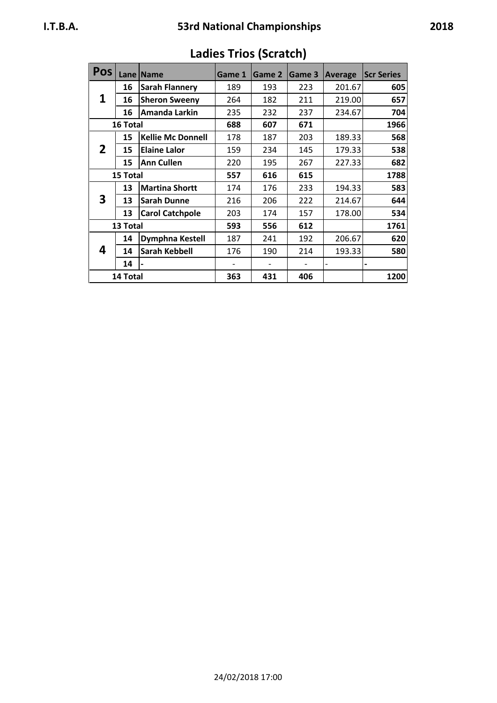| <b>Pos</b>   |          | Lane   Name              | Game 1 | Game 2 | Game 3 | <b>Average</b> | <b>Scr Series</b> |
|--------------|----------|--------------------------|--------|--------|--------|----------------|-------------------|
|              | 16       | <b>Sarah Flannery</b>    | 189    | 193    | 223    | 201.67         | 605               |
| 1            | 16       | <b>Sheron Sweeny</b>     | 264    | 182    | 211    | 219.00         | 657               |
|              | 16       | Amanda Larkin            | 235    | 232    | 237    | 234.67         | 704               |
|              | 16 Total |                          | 688    | 607    | 671    |                | 1966              |
|              | 15       | <b>Kellie Mc Donnell</b> | 178    | 187    | 203    | 189.33         | 568               |
| $\mathbf{2}$ | 15       | <b>Elaine Lalor</b>      | 159    | 234    | 145    | 179.33         | 538               |
|              | 15       | <b>Ann Cullen</b>        | 220    | 195    | 267    | 227.33         | 682               |
|              | 15 Total |                          | 557    | 616    | 615    |                | 1788              |
|              | 13       | <b>Martina Shortt</b>    | 174    | 176    | 233    | 194.33         | 583               |
| 3            | 13       | <b>Sarah Dunne</b>       | 216    | 206    | 222    | 214.67         | 644               |
|              | 13       | <b>Carol Catchpole</b>   | 203    | 174    | 157    | 178.00         | 534               |
|              | 13 Total |                          | 593    | 556    | 612    |                | 1761              |
|              | 14       | Dymphna Kestell          | 187    | 241    | 192    | 206.67         | 620               |
| 4            | 14       | Sarah Kebbell            | 176    | 190    | 214    | 193.33         | 580               |
|              | 14       |                          |        |        |        |                |                   |
|              | 14 Total |                          | 363    | 431    | 406    |                | 1200              |

# **Ladies Trios (Scratch)**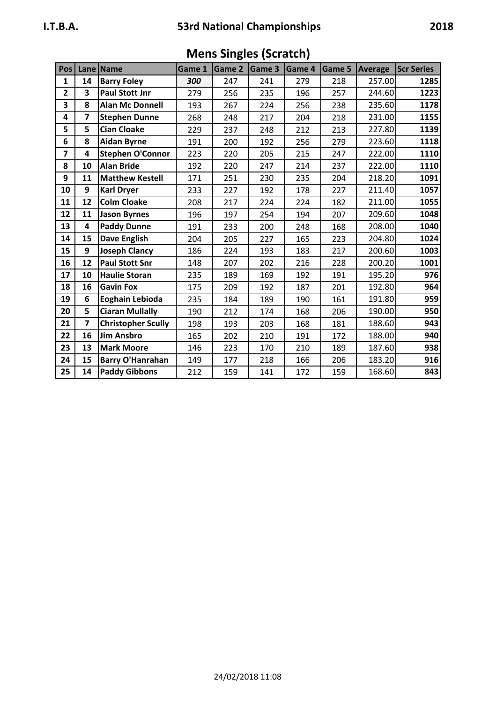| Pos            |                         | Lane Name                 | Game 1 | Game 2 | Game 3 | Game 4 |     | <b>Game 5 Average</b> | <b>Scr Series</b> |
|----------------|-------------------------|---------------------------|--------|--------|--------|--------|-----|-----------------------|-------------------|
| $\mathbf{1}$   | 14                      | <b>Barry Foley</b>        | 300    | 247    | 241    | 279    | 218 | 257.00                | 1285              |
| $\mathbf{2}$   | 3                       | <b>Paul Stott Jnr</b>     | 279    | 256    | 235    | 196    | 257 | 244.60                | 1223              |
| 3              | 8                       | <b>Alan Mc Donnell</b>    | 193    | 267    | 224    | 256    | 238 | 235.60                | 1178              |
| 4              | $\overline{ }$          | <b>Stephen Dunne</b>      | 268    | 248    | 217    | 204    | 218 | 231.00                | 1155              |
| 5              | 5                       | <b>Cian Cloake</b>        | 229    | 237    | 248    | 212    | 213 | 227.80                | 1139              |
| 6              | 8                       | <b>Aidan Byrne</b>        | 191    | 200    | 192    | 256    | 279 | 223.60                | 1118              |
| $\overline{7}$ | 4                       | <b>Stephen O'Connor</b>   | 223    | 220    | 205    | 215    | 247 | 222.00                | 1110              |
| 8              | 10                      | <b>Alan Bride</b>         | 192    | 220    | 247    | 214    | 237 | 222.00                | 1110              |
| 9              | 11                      | <b>Matthew Kestell</b>    | 171    | 251    | 230    | 235    | 204 | 218.20                | 1091              |
| 10             | 9                       | <b>Karl Dryer</b>         | 233    | 227    | 192    | 178    | 227 | 211.40                | 1057              |
| 11             | 12                      | <b>Colm Cloake</b>        | 208    | 217    | 224    | 224    | 182 | 211.00                | 1055              |
| 12             | 11                      | <b>Jason Byrnes</b>       | 196    | 197    | 254    | 194    | 207 | 209.60                | 1048              |
| 13             | 4                       | <b>Paddy Dunne</b>        | 191    | 233    | 200    | 248    | 168 | 208.00                | 1040              |
| 14             | 15                      | <b>Dave English</b>       | 204    | 205    | 227    | 165    | 223 | 204.80                | 1024              |
| 15             | 9                       | <b>Joseph Clancy</b>      | 186    | 224    | 193    | 183    | 217 | 200.60                | 1003              |
| 16             | 12                      | <b>Paul Stott Snr</b>     | 148    | 207    | 202    | 216    | 228 | 200.20                | 1001              |
| 17             | 10                      | <b>Haulie Storan</b>      | 235    | 189    | 169    | 192    | 191 | 195.20                | 976               |
| 18             | 16                      | <b>Gavin Fox</b>          | 175    | 209    | 192    | 187    | 201 | 192.80                | 964               |
| 19             | 6                       | Eoghain Lebioda           | 235    | 184    | 189    | 190    | 161 | 191.80                | 959               |
| 20             | 5                       | <b>Ciaran Mullally</b>    | 190    | 212    | 174    | 168    | 206 | 190.00                | 950               |
| 21             | $\overline{\mathbf{z}}$ | <b>Christopher Scully</b> | 198    | 193    | 203    | 168    | 181 | 188.60                | 943               |
| 22             | 16                      | <b>Jim Ansbro</b>         | 165    | 202    | 210    | 191    | 172 | 188.00                | 940               |
| 23             | 13                      | <b>Mark Moore</b>         | 146    | 223    | 170    | 210    | 189 | 187.60                | 938               |
| 24             | 15                      | <b>Barry O'Hanrahan</b>   | 149    | 177    | 218    | 166    | 206 | 183.20                | 916               |
| 25             | 14                      | <b>Paddy Gibbons</b>      | 212    | 159    | 141    | 172    | 159 | 168.60                | 843               |

**Mens Singles (Scratch)**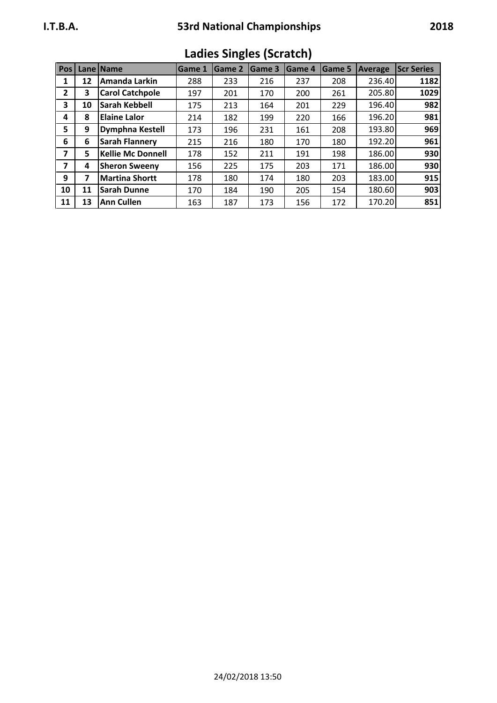| ×<br>۰. | M.<br>۰, |
|---------|----------|
|---------|----------|

| Pos <sub>1</sub>        |    | Lane Name                | <b>Game 1</b> | Game 2 | Game 3 | <b>Game 4</b> | Game 5 | Average | <b>Scr Series</b> |
|-------------------------|----|--------------------------|---------------|--------|--------|---------------|--------|---------|-------------------|
| 1                       | 12 | Amanda Larkin            | 288           | 233    | 216    | 237           | 208    | 236.40  | 1182              |
| $\overline{2}$          | 3  | <b>Carol Catchpole</b>   | 197           | 201    | 170    | 200           | 261    | 205.80  | 1029              |
| $\overline{\mathbf{3}}$ | 10 | <b>Sarah Kebbell</b>     | 175           | 213    | 164    | 201           | 229    | 196.40  | 982               |
| 4                       | 8  | Elaine Lalor             | 214           | 182    | 199    | 220           | 166    | 196.20  | 981               |
| 5                       | 9  | <b>Dymphna Kestell</b>   | 173           | 196    | 231    | 161           | 208    | 193.80  | 969               |
| 6                       | 6  | <b>Sarah Flannery</b>    | 215           | 216    | 180    | 170           | 180    | 192.20  | 961               |
| $\overline{\mathbf{z}}$ | 5  | <b>Kellie Mc Donnell</b> | 178           | 152    | 211    | 191           | 198    | 186.00  | 930               |
| 7                       | 4  | <b>Sheron Sweeny</b>     | 156           | 225    | 175    | 203           | 171    | 186.00  | 930               |
| 9                       |    | <b>Martina Shortt</b>    | 178           | 180    | 174    | 180           | 203    | 183.00  | 915               |
| 10                      | 11 | <b>Sarah Dunne</b>       | 170           | 184    | 190    | 205           | 154    | 180.60  | 903               |
| 11                      | 13 | <b>Ann Cullen</b>        | 163           | 187    | 173    | 156           | 172    | 170.20  | 851               |

**Ladies Singles (Scratch)**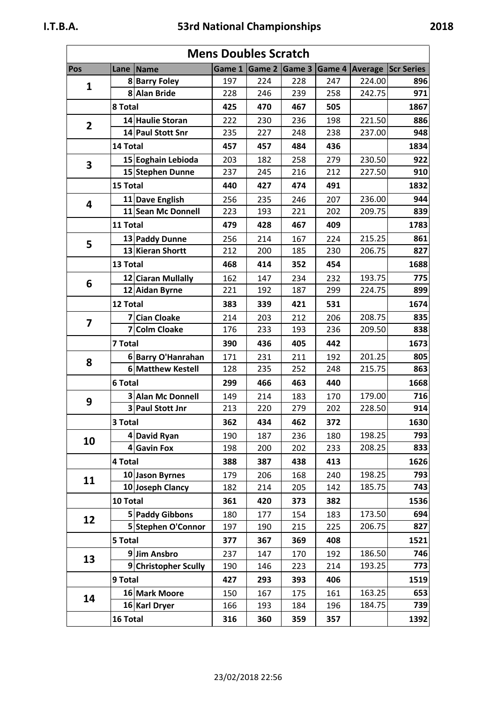| <b>Mens Doubles Scratch</b> |          |                          |     |                      |     |     |                                                                                                                                                                                                                                                                                                                          |                                                                                                                                                                                                                                                                                                                  |  |
|-----------------------------|----------|--------------------------|-----|----------------------|-----|-----|--------------------------------------------------------------------------------------------------------------------------------------------------------------------------------------------------------------------------------------------------------------------------------------------------------------------------|------------------------------------------------------------------------------------------------------------------------------------------------------------------------------------------------------------------------------------------------------------------------------------------------------------------|--|
| Pos                         |          | Lane   Name              |     | Game 1 Game 2 Game 3 |     |     |                                                                                                                                                                                                                                                                                                                          |                                                                                                                                                                                                                                                                                                                  |  |
| 1                           |          | 8 Barry Foley            | 197 | 224                  | 228 | 247 |                                                                                                                                                                                                                                                                                                                          |                                                                                                                                                                                                                                                                                                                  |  |
|                             |          | 8 Alan Bride             | 228 | 246                  | 239 | 258 |                                                                                                                                                                                                                                                                                                                          |                                                                                                                                                                                                                                                                                                                  |  |
|                             | 8 Total  |                          | 425 | 470                  | 467 | 505 |                                                                                                                                                                                                                                                                                                                          |                                                                                                                                                                                                                                                                                                                  |  |
| $\overline{2}$              |          | 14 Haulie Storan         | 222 | 230                  | 236 | 198 |                                                                                                                                                                                                                                                                                                                          |                                                                                                                                                                                                                                                                                                                  |  |
|                             |          | 14 Paul Stott Snr        | 235 | 227                  | 248 | 238 |                                                                                                                                                                                                                                                                                                                          |                                                                                                                                                                                                                                                                                                                  |  |
|                             | 14 Total |                          | 457 | 457                  | 484 | 436 |                                                                                                                                                                                                                                                                                                                          |                                                                                                                                                                                                                                                                                                                  |  |
| 3                           |          | 15 Eoghain Lebioda       | 203 | 182                  | 258 | 279 |                                                                                                                                                                                                                                                                                                                          |                                                                                                                                                                                                                                                                                                                  |  |
|                             |          | 15 Stephen Dunne         | 237 | 245                  | 216 | 212 |                                                                                                                                                                                                                                                                                                                          |                                                                                                                                                                                                                                                                                                                  |  |
|                             | 15 Total |                          | 440 | 427                  | 474 | 491 |                                                                                                                                                                                                                                                                                                                          |                                                                                                                                                                                                                                                                                                                  |  |
| 4                           |          | 11 Dave English          | 256 | 235                  | 246 | 207 |                                                                                                                                                                                                                                                                                                                          |                                                                                                                                                                                                                                                                                                                  |  |
|                             |          | 11 Sean Mc Donnell       | 223 | 193                  | 221 | 202 |                                                                                                                                                                                                                                                                                                                          |                                                                                                                                                                                                                                                                                                                  |  |
|                             | 11 Total |                          | 479 | 428                  | 467 | 409 |                                                                                                                                                                                                                                                                                                                          |                                                                                                                                                                                                                                                                                                                  |  |
| 5                           |          | 13 Paddy Dunne           | 256 | 214                  | 167 | 224 |                                                                                                                                                                                                                                                                                                                          |                                                                                                                                                                                                                                                                                                                  |  |
|                             |          | 13 Kieran Shortt         | 212 | 200                  | 185 | 230 |                                                                                                                                                                                                                                                                                                                          |                                                                                                                                                                                                                                                                                                                  |  |
|                             | 13 Total |                          | 468 | 414                  | 352 | 454 |                                                                                                                                                                                                                                                                                                                          |                                                                                                                                                                                                                                                                                                                  |  |
|                             |          | 12 Ciaran Mullally       | 162 | 147                  | 234 | 232 |                                                                                                                                                                                                                                                                                                                          |                                                                                                                                                                                                                                                                                                                  |  |
| 6                           |          | 12 Aidan Byrne           | 221 | 192                  | 187 | 299 |                                                                                                                                                                                                                                                                                                                          |                                                                                                                                                                                                                                                                                                                  |  |
|                             | 12 Total |                          | 383 | 339                  | 421 | 531 |                                                                                                                                                                                                                                                                                                                          |                                                                                                                                                                                                                                                                                                                  |  |
|                             |          | 7 Cian Cloake            | 214 | 203                  | 212 | 206 |                                                                                                                                                                                                                                                                                                                          |                                                                                                                                                                                                                                                                                                                  |  |
| $\overline{\mathbf{z}}$     | 7        | <b>Colm Cloake</b>       | 176 | 233                  | 193 | 236 |                                                                                                                                                                                                                                                                                                                          | 896<br>971<br>1867<br>886<br>948<br>1834<br>922<br>910<br>1832<br>944<br>839<br>1783<br>861<br>827<br>1688<br>775<br>899<br>1674<br>835<br>838<br>1673<br>805<br>863<br>1668<br>716<br>914<br>1630<br>793<br>833<br>1626<br>793<br>743<br>1536<br>694<br>827<br>1521<br>746<br>773<br>1519<br>653<br>739<br>1392 |  |
|                             | 7 Total  |                          | 390 | 436                  | 405 | 442 |                                                                                                                                                                                                                                                                                                                          |                                                                                                                                                                                                                                                                                                                  |  |
| 8                           |          | 6 Barry O'Hanrahan       | 171 | 231                  | 211 | 192 |                                                                                                                                                                                                                                                                                                                          |                                                                                                                                                                                                                                                                                                                  |  |
|                             |          | 6 Matthew Kestell        | 128 | 235                  | 252 | 248 | <b>Game 4 Average Scr Series</b><br>224.00<br>242.75<br>221.50<br>237.00<br>230.50<br>227.50<br>236.00<br>209.75<br>215.25<br>206.75<br>193.75<br>224.75<br>208.75<br>209.50<br>201.25<br>215.75<br>179.00<br>228.50<br>198.25<br>208.25<br>198.25<br>185.75<br>173.50<br>206.75<br>186.50<br>193.25<br>163.25<br>184.75 |                                                                                                                                                                                                                                                                                                                  |  |
|                             | 6 Total  |                          | 299 | 466                  | 463 | 440 |                                                                                                                                                                                                                                                                                                                          |                                                                                                                                                                                                                                                                                                                  |  |
|                             |          | <b>3 Alan Mc Donnell</b> |     | 214                  | 183 | 170 |                                                                                                                                                                                                                                                                                                                          |                                                                                                                                                                                                                                                                                                                  |  |
| 9                           |          | 3 Paul Stott Jnr         | 213 | 220                  | 279 | 202 |                                                                                                                                                                                                                                                                                                                          |                                                                                                                                                                                                                                                                                                                  |  |
|                             | 3 Total  |                          | 362 | 434                  | 462 | 372 |                                                                                                                                                                                                                                                                                                                          |                                                                                                                                                                                                                                                                                                                  |  |
|                             |          | 4 David Ryan             | 190 | 187                  | 236 | 180 |                                                                                                                                                                                                                                                                                                                          |                                                                                                                                                                                                                                                                                                                  |  |
| 10                          |          | 4 Gavin Fox              |     | 200                  | 202 | 233 |                                                                                                                                                                                                                                                                                                                          |                                                                                                                                                                                                                                                                                                                  |  |
|                             | 4 Total  |                          | 388 | 387                  | 438 | 413 |                                                                                                                                                                                                                                                                                                                          |                                                                                                                                                                                                                                                                                                                  |  |
|                             |          | 10 Jason Byrnes          | 179 | 206                  | 168 | 240 |                                                                                                                                                                                                                                                                                                                          |                                                                                                                                                                                                                                                                                                                  |  |
| 11                          |          | 10 Joseph Clancy         | 182 | 214                  | 205 | 142 |                                                                                                                                                                                                                                                                                                                          |                                                                                                                                                                                                                                                                                                                  |  |
|                             |          | 10 Total                 |     | 420                  | 373 | 382 |                                                                                                                                                                                                                                                                                                                          |                                                                                                                                                                                                                                                                                                                  |  |
|                             |          | 5 Paddy Gibbons          | 180 | 177                  | 154 | 183 |                                                                                                                                                                                                                                                                                                                          |                                                                                                                                                                                                                                                                                                                  |  |
| 12                          |          | 5 Stephen O'Connor       | 197 | 190                  | 215 | 225 |                                                                                                                                                                                                                                                                                                                          |                                                                                                                                                                                                                                                                                                                  |  |
|                             | 5 Total  |                          | 377 | 367                  | 369 | 408 |                                                                                                                                                                                                                                                                                                                          |                                                                                                                                                                                                                                                                                                                  |  |
|                             |          | 9 Jim Ansbro             | 237 | 147                  | 170 | 192 |                                                                                                                                                                                                                                                                                                                          |                                                                                                                                                                                                                                                                                                                  |  |
| 13                          |          | 9 Christopher Scully     | 190 | 146                  | 223 | 214 |                                                                                                                                                                                                                                                                                                                          |                                                                                                                                                                                                                                                                                                                  |  |
|                             | 9 Total  |                          | 427 | 293                  | 393 | 406 |                                                                                                                                                                                                                                                                                                                          |                                                                                                                                                                                                                                                                                                                  |  |
|                             |          | 16 Mark Moore            | 150 | 167                  | 175 | 161 |                                                                                                                                                                                                                                                                                                                          |                                                                                                                                                                                                                                                                                                                  |  |
| 14                          |          | 16 Karl Dryer            | 166 | 193                  | 184 | 196 |                                                                                                                                                                                                                                                                                                                          |                                                                                                                                                                                                                                                                                                                  |  |
|                             | 16 Total |                          | 316 | 360                  | 359 | 357 |                                                                                                                                                                                                                                                                                                                          |                                                                                                                                                                                                                                                                                                                  |  |
|                             |          |                          |     |                      |     |     |                                                                                                                                                                                                                                                                                                                          |                                                                                                                                                                                                                                                                                                                  |  |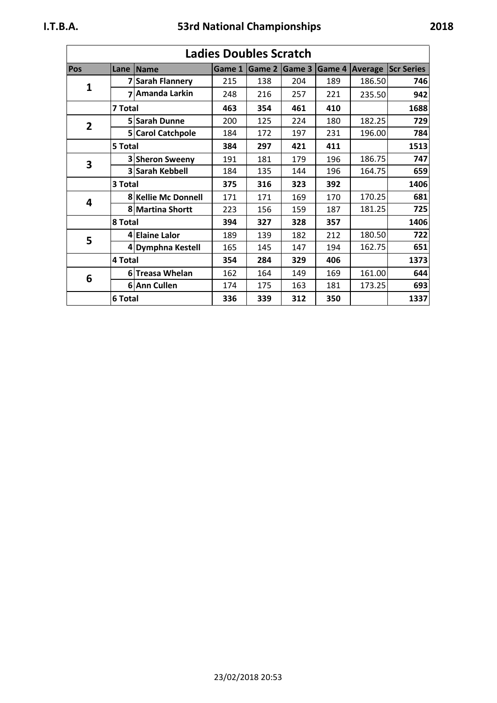| <b>Ladies Doubles Scratch</b> |                |                     |        |                                                                                                                                                                                                                                                                                                            |        |        |  |  |  |
|-------------------------------|----------------|---------------------|--------|------------------------------------------------------------------------------------------------------------------------------------------------------------------------------------------------------------------------------------------------------------------------------------------------------------|--------|--------|--|--|--|
| Pos                           |                | Lane Name           | Game 1 | Game 2                                                                                                                                                                                                                                                                                                     | Game 3 | Game 4 |  |  |  |
| $\mathbf{1}$                  |                | 7 Sarah Flannery    | 215    | 138                                                                                                                                                                                                                                                                                                        | 204    | 189    |  |  |  |
|                               | $\overline{ }$ | Amanda Larkin       | 248    | 216                                                                                                                                                                                                                                                                                                        | 257    | 221    |  |  |  |
|                               | 7 Total        |                     | 463    | 354                                                                                                                                                                                                                                                                                                        | 461    | 410    |  |  |  |
| $\overline{2}$                |                | 5 Sarah Dunne       | 200    | 125                                                                                                                                                                                                                                                                                                        | 224    | 180    |  |  |  |
|                               |                | 5 Carol Catchpole   | 184    | 172                                                                                                                                                                                                                                                                                                        | 197    | 231    |  |  |  |
|                               | 5 Total        |                     | 384    | 297                                                                                                                                                                                                                                                                                                        | 421    | 411    |  |  |  |
| 3                             |                | 3 Sheron Sweeny     | 191    | 181                                                                                                                                                                                                                                                                                                        | 179    | 196    |  |  |  |
|                               |                | 3 Sarah Kebbell     | 184    | 135                                                                                                                                                                                                                                                                                                        | 144    | 196    |  |  |  |
|                               | 3 Total        |                     | 375    | 316                                                                                                                                                                                                                                                                                                        | 323    | 392    |  |  |  |
| 4                             |                | 8 Kellie Mc Donnell | 171    | 171                                                                                                                                                                                                                                                                                                        | 169    | 170    |  |  |  |
|                               |                | 8 Martina Shortt    | 223    | 156                                                                                                                                                                                                                                                                                                        | 159    | 187    |  |  |  |
|                               | 8 Total        |                     | 394    | 327                                                                                                                                                                                                                                                                                                        | 328    | 357    |  |  |  |
| 5                             |                | 4 Elaine Lalor      | 189    | 139                                                                                                                                                                                                                                                                                                        | 182    | 212    |  |  |  |
|                               |                | 4 Dymphna Kestell   | 165    | 145                                                                                                                                                                                                                                                                                                        | 147    | 194    |  |  |  |
|                               | 4 Total        |                     | 354    | 284                                                                                                                                                                                                                                                                                                        | 329    | 406    |  |  |  |
| 6                             |                | 6 Treasa Whelan     | 162    | 164                                                                                                                                                                                                                                                                                                        | 149    | 169    |  |  |  |
|                               |                | 6 Ann Cullen        | 174    | 175                                                                                                                                                                                                                                                                                                        | 163    | 181    |  |  |  |
|                               | 6 Total        |                     | 336    | <b>Average Scr Series</b><br>186.50<br>746<br>235.50<br>942<br>1688<br>182.25<br>729<br>196.00<br>784<br>1513<br>186.75<br>747<br>659<br>164.75<br>1406<br>170.25<br>681<br>181.25<br>725<br>1406<br>180.50<br>722<br>162.75<br>651<br>1373<br>161.00<br>644<br>173.25<br>693<br>339<br>312<br>350<br>1337 |        |        |  |  |  |

# **Ladies Doubles Scratch**